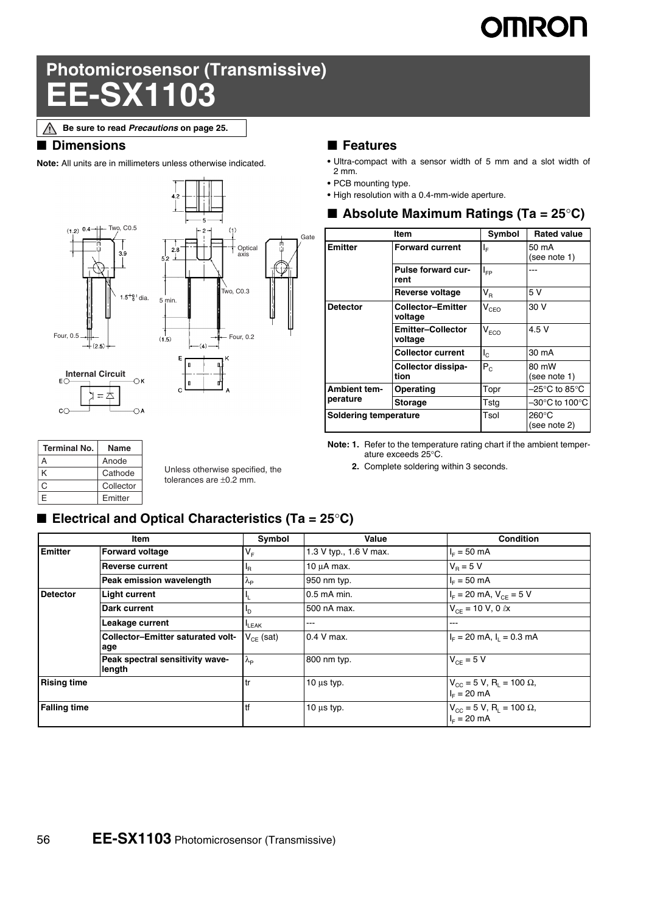# **IMRON**

## **Photomicrosensor (Transmissive) D3**

**Be sure to read** *Precautions* **on page 25.**Λ

#### ■ **Dimensions**

**Note:** All units are in millimeters unless otherwise indicated.



#### **Terminal No.** Name A Anode K Cathode C Collector E Emitter

Unless otherwise specified, the tolerances are ±0.2 mm.

#### ■ **Features**

- **•** Ultra-compact with a sensor width of 5 mm and a slot width of 2 mm.
- **•** PCB mounting type.
- **•** High resolution with a 0.4-mm-wide aperture.

|                       | ltem                                | Symbol                      | <b>Rated value</b>    |
|-----------------------|-------------------------------------|-----------------------------|-----------------------|
| <b>Emitter</b>        | <b>Forward current</b>              | ΙF                          | 50 mA<br>(see note 1) |
|                       | <b>Pulse forward cur-</b><br>rent   | I <sub>FP</sub>             |                       |
|                       | Reverse voltage                     | $\mathsf{V}_\mathsf{R}$     | 5 V                   |
| <b>Detector</b>       | <b>Collector-Emitter</b><br>voltage | $\mathsf{V}_{\texttt{CEO}}$ | 30 V                  |
|                       | <b>Emitter-Collector</b><br>voltage | $\mathsf{V}_{\mathsf{ECO}}$ | 4.5 V                 |
|                       | <b>Collector current</b>            | $I_{\odot}$                 | 30 mA                 |
|                       | Collector dissipa-<br>tion          | $P_{C}$                     | 80 mW<br>(see note 1) |
| <b>Ambient tem-</b>   | Operating                           | Topr                        | –25°C to 85°C         |
| perature              | <b>Storage</b>                      | Tstg                        | –30°C to 100°C        |
| Soldering temperature |                                     | Tsol                        | 260°C<br>(see note 2) |

**Note: 1.** Refer to the temperature rating chart if the ambient temperature exceeds 25°C.

**2.** Complete soldering within 3 seconds.

#### ■ **Electrical and Optical Characteristics (Ta = 25°C)**

| Item                |                                                 | Symbol            | Value                  | <b>Condition</b>                                                    |
|---------------------|-------------------------------------------------|-------------------|------------------------|---------------------------------------------------------------------|
| <b>Emitter</b>      | <b>Forward voltage</b>                          | $V_F$             | 1.3 V typ., 1.6 V max. | $I_{F} = 50$ mA                                                     |
|                     | <b>Reverse current</b>                          | 'R                | 10 $\mu$ A max.        | $V_B = 5 V$                                                         |
|                     | Peak emission wavelength                        | $\lambda_{\rm P}$ | 950 nm typ.            | $I_{E} = 50$ mA                                                     |
| <b>Detector</b>     | <b>Light current</b>                            | ч.                | 0.5 mA min.            | $I_F = 20$ mA, $V_{CF} = 5$ V                                       |
|                     | Dark current                                    | <u>In</u>         | 500 nA max.            | $V_{CF}$ = 10 V, 0 $\ell$ x                                         |
|                     | Leakage current                                 | <b>LEAK</b>       | ---                    | ---                                                                 |
|                     | <b>Collector-Emitter saturated volt-</b><br>age | $V_{CF}$ (sat)    | 0.4 V max.             | $IF = 20$ mA, $I1 = 0.3$ mA                                         |
|                     | Peak spectral sensitivity wave-<br>length       | $\lambda_{\rm p}$ | 800 nm typ.            | $V_{CF} = 5 V$                                                      |
| <b>Rising time</b>  |                                                 | , tr              | $10 \mu s$ typ.        | $V_{CC}$ = 5 V, R <sub>1</sub> = 100 $\Omega$ ,<br>$I_{E} = 20$ mA  |
| <b>Falling time</b> |                                                 | Itf               | $10 \mu s$ typ.        | $V_{CG} = 5 V$ , R <sub>1</sub> = 100 $\Omega$ ,<br>$I_{E} = 20$ mA |